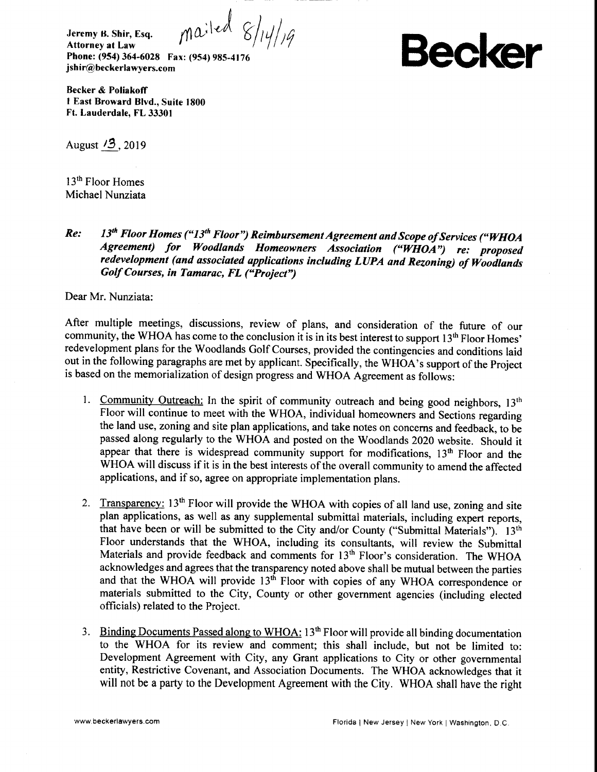$mailed$   $8/14/19$ **Jeremy B. Shir, Esq. Attorney at Law Phone: (954) 364-6028 Fax: (954) 985-4176 jsh i r@ beckerlawyers.com**

**Becker**

**Becker & Poliakoff 1 East Broward Blvd., Suite 1800 Ft. Lauderdale, FL 33301**

August '3,2019

13<sup>th</sup> Floor Homes Michael Nunziata

## *Re: 13th Floor Homes ("13th Floor") Reimbursement Agreement and Scope of Services ("WHOA Agreement) for Woodlands Homeowners Association ("WHOA") re: proposed redevelopment (and associated applications including LUPA and Rezoning) of Woodlands Golf Courses, in Tamarac, FL ("Project")*

Dear Mr. Nunziata:

After multiple meetings, discussions, review of plans, and consideration of the future of our community, the WHOA has come to the conclusion it is in its best interest to support 13<sup>th</sup> Floor Homes' redevelopment plans for the Woodlands Golf Courses, provided the contingencies and conditions laid out in the following paragraphs are met by applicant. Specifically, the WHOA's support of the Project is based on the memorialization of design progress and WHOA Agreement as follows:

- 1. Community Outreach: In the spirit of community outreach and being good neighbors, 13<sup>th</sup> Floor will continue to meet with the WHOA, individual homeowners and Sections regarding the land use, zoning and site plan applications, and take notes on concerns and feedback, to be passed along regularly to the WHOA and posted on the Woodlands 2020 website. Should it appear that there is widespread community support for modifications, 13<sup>th</sup> Floor and the WHOA will discuss if it is in the best interests of the overall community to amend the affected applications, and if so, agree on appropriate implementation plans.
- 2. Transparency: 13<sup>th</sup> Floor will provide the WHOA with copies of all land use, zoning and site plan applications, as well as any supplemental submittal materials, including expert reports, that have been or will be submitted to the City and/or County ("Submittal Materials"). 13<sup>th</sup> Floor understands that the WHOA, including its consultants, will review the Submittal Materials and provide feedback and comments for  $13<sup>th</sup>$  Floor's consideration. The WHOA acknowledges and agrees that the transparency noted above shall be mutual between the parties and that the WHOA will provide 13<sup>th</sup> Floor with copies of any WHOA correspondence or materials submitted to the City, County or other government agencies (including elected officials) related to the Project.
- 3. Binding Documents Passed along to WHOA: 13<sup>th</sup> Floor will provide all binding documentation to the WHOA for its review and comment; this shall include, but not be limited to: Development Agreement with City, any Grant applications to City or other governmental entity, Restrictive Covenant, and Association Documents. The WHOA acknowledges that it will not be a party to the Development Agreement with the City. WHOA shall have the right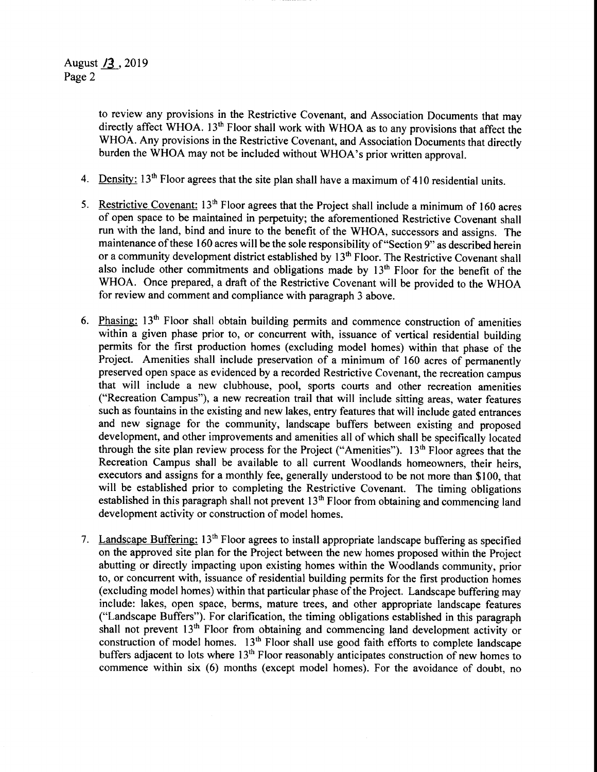to review any provisions in the Restrictive Covenant, and Association Documents that may directly affect WHOA. 13<sup>th</sup> Floor shall work with WHOA as to any provisions that affect the WHOA. Any provisions in the Restrictive Covenant, and Association Documents that directly burden the WHOA may not be included without WHOA's prior written approval.

- 4. Density:  $13<sup>th</sup>$  Floor agrees that the site plan shall have a maximum of 410 residential units.
- 5. Restrictive Covenant:  $13<sup>th</sup>$  Floor agrees that the Project shall include a minimum of 160 acres of open space to be maintained in perpetuity; the aforementioned Restrictive Covenant shall run with the land, bind and inure to the benefit of the WHOA, successors and assigns. The maintenance of these 160 acres will be the sole responsibility of "Section 9" as described herein or a community development district established by 13<sup>th</sup> Floor. The Restrictive Covenant shall also include other commitments and obligations made by  $13<sup>th</sup>$  Floor for the benefit of the WHOA. Once prepared, a draft of the Restrictive Covenant will be provided to the WHOA for review and comment and compliance with paragraph 3 above.
- 6. Phasing:  $13<sup>th</sup>$  Floor shall obtain building permits and commence construction of amenities within a given phase prior to, or concurrent with, issuance of vertical residential building permits for the first production homes (excluding model homes) within that phase of the Project. Amenities shall include preservation of a minimum of 160 acres of permanently preserved open space as evidenced by a recorded Restrictive Covenant, the recreation campus that will include a new clubhouse, pool, sports courts and other recreation amenities ("Recreation Campus"), a new recreation trail that will include sitting areas, water features such as fountains in the existing and new lakes, entry features that will include gated entrances and new signage for the community, landscape buffers between existing and proposed development, and other improvements and amenities all of which shall be specifically located through the site plan review process for the Project ("Amenities"). 13<sup>th</sup> Floor agrees that the Recreation Campus shall be available to all current Woodlands homeowners, their heirs, executors and assigns for a monthly fee, generally understood to be not more than \$100, that will be established prior to completing the Restrictive Covenant. The timing obligations established in this paragraph shall not prevent  $13<sup>th</sup>$  Floor from obtaining and commencing land development activity or construction of model homes.
- 7. Landscape Buffering: 13th Floor agrees to install appropriate landscape buffering as specified on the approved site plan for the Project between the new homes proposed within the Project abutting or directly impacting upon existing homes within the Woodlands community, prior to, or concurrent with, issuance of residential building permits for the first production homes (excluding model homes) within that particular phase of the Project. Landscape buffering may include: lakes, open space, berms, mature trees, and other appropriate landscape features ("Landscape Buffers"). For clarification, the timing obligations established in this paragraph shall not prevent 13<sup>th</sup> Floor from obtaining and commencing land development activity or construction of model homes.  $13<sup>th</sup>$  Floor shall use good faith efforts to complete landscape buffers adjacent to lots where 13<sup>th</sup> Floor reasonably anticipates construction of new homes to commence within six (6) months (except model homes). For the avoidance of doubt, no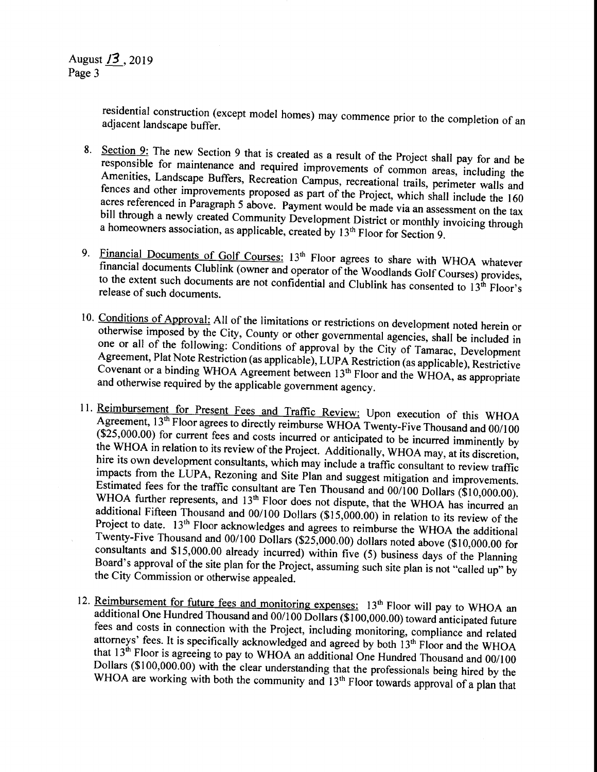August *13* ,2019 Page 3

> residential construction (except model homes) may commence prior to the completion of an adiacent landscape buffer.

- 8. Section 9: The new Section 9 that is created as a result of the Project shall pay for and be responsible for maintenance and required improvements of common areas, including the Amenities, Landscape Buffers, Recreation Campus, recreational trails, perimeter walls and fences and other improvements proposed as part of the Project, which shall include the 160 acres referenced in Paragraph 5 above. Payment would be made via an assessment on the tax bill through a newly created Community Development District or monthly invoicing through a homeowners association, as applicable, created by  $13<sup>th</sup>$  Floor for Section 9.
- 9. Financial Documents of Golf Courses: 13<sup>th</sup> Floor agrees to share with WHOA whatever financial documents Clublink (owner and operator of the Woodlands Golf Courses) provides, to the extent such documents are not confidential and Clublink has consented to  $13<sup>th</sup>$  Floor's release of such documents.
- 10. Conditions of Approval: All of the limitations or restrictions on development noted herein or otherwise imposed by the City, County or other governmental agencies, shall be included in one or all of the following: Conditions of approval by the City of Tamarac, Development Agreement, Plat Note Restriction (as applicable), LUPA Restriction (as applicable), Restrictive Covenant or a binding WHOA Agreement between 13<sup>th</sup> Floor and the WHOA, as appropriate and otherwise required by the applicable government agency.
- 11. Reimbursement for Present Fees and Traffic Review: Upon execution of this WHOA Agreement, 13<sup>th</sup> Floor agrees to directly reimburse WHOA Twenty-Five Thousand and 00/100  $(\overline{$}25,000.00)$  for current fees and costs incurred or anticipated to be incurred imminently by the WHOA in relation to its review of the Project. Additionally, WHOA may, at its discretion, hire its own development consultants, which may include a traffic consultant to review traffic impacts from the LUPA, Rezoning and Site Plan and suggest mitigation and improvements. Estimated fees for the traffic consultant are Ten Thousand and 00/100 Dollars (\$10,000.00). WHOA further represents, and 13<sup>th</sup> Floor does not dispute, that the WHOA has incurred an additional Fifteen Thousand and 00/100 Dollars (\$15,000.00) in relation to its review of the Project to date. 13<sup>th</sup> Floor acknowledges and agrees to reimburse the WHOA the additional Twenty-Five Thousand and 00/100 Dollars (\$25,000.00) dollars noted above (\$10,000.00 for consultants and \$15,000.00 already incurred) within five (5) business days of the Planning Board's approval of the site plan for the Project, assuming such site plan is not "called up" by the City Commission or otherwise appealed.
- 12. Reimbursement for future fees and monitoring expenses: 13<sup>th</sup> Floor will pay to WHOA an additional One Hundred Thousand and 00/100 Dollars (\$100,000.00) toward anticipated future fees and costs in connection with the Project, including monitoring, compliance and related attorneys' fees. It is specifically acknowledged and agreed by both  $13<sup>th</sup>$  Floor and the WHOA that  $13<sup>th</sup>$  Floor is agreeing to pay to WHOA an additional One Hundred Thousand and 00/100 Dollars (\$100,000.00) with the clear understanding that the professionals being hired by the WHOA are working with both the community and 13<sup>th</sup> Floor towards approval of a plan that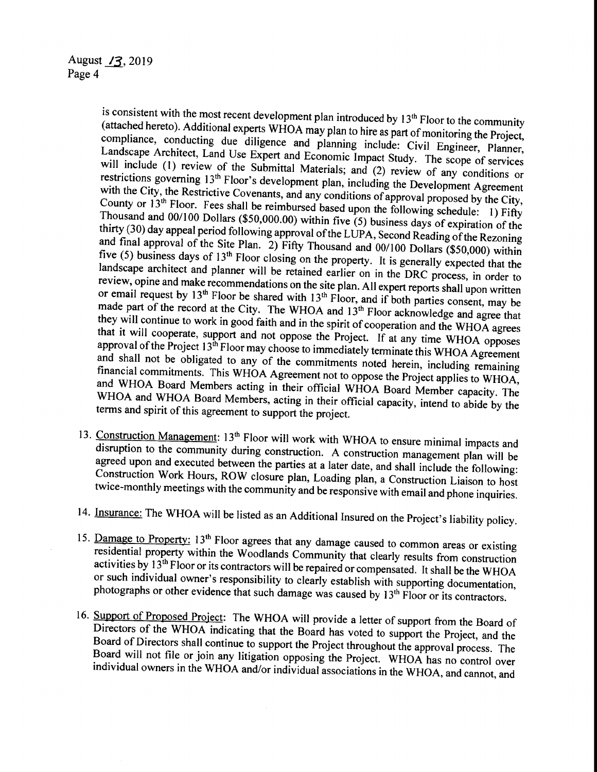is consistent with the most recent development plan introduced by  $13<sup>th</sup>$  Floor to the community (attached hereto). Additional experts WHOA may plan to hire as part of monitoring the Project, compliance, conducting due diligence and planning include: Civil Engineer, Planner, Landscape Architect, Land Use Expert and Economic Impact Study. The scope of services will include (1) review of the Submittal Materials; and (2) review of any conditions or restrictions governing 13<sup>th</sup> Floor's development plan, including the Development Agreement with the City, the Restrictive Covenants, and any conditions of approval proposed by the City, County or 13<sup>th</sup> Floor. Fees shall be reimbursed based upon the following schedule: 1) Fifty Thousand and 00/100 Dollars (\$50,000.00) within five (5) business days of expiration of the thirty (30) day appeal period following approval of the LUPA, Second Reading of the Rezoning and final approval of the Site Plan. 2) Fifty Thousand and 00/100 Dollars (\$50,000) within five (5) business days of 13<sup>th</sup> Floor closing on the property. It is generally expected that the landscape architect and planner will be retained earlier on in the DRC process, in order to review, opine and make recommendations on the site plan. All expert reports shall upon written or email request by 13<sup>th</sup> Floor be shared with 13<sup>th</sup> Floor, and if both parties consent, may be made part of the record at the City. The WHOA and  $13<sup>th</sup>$  Floor acknowledge and agree that they will continue to work in good faith and in the spirit of cooperation and the WHOA agrees that it will cooperate, support and not oppose the Project. If at any time WHOA opposes approval of the Project  $13<sup>th</sup>$  Floor may choose to immediately terminate this WHOA Agreement and shall not be obligated to any of the commitments noted herein, including remaining financial commitments. This WHOA Agreement not to oppose the Project applies to WHOA, and WHOA Board Members acting in their official WHOA Board Member capacity. The WHOA and WHOA Board Members, acting in their official capacity, intend to abide by the terms and spirit of this agreement to support the project.

- 13. Construction Management: 13<sup>th</sup> Floor will work with WHOA to ensure minimal impacts and disruption to the community during construction. A construction management plan will be agreed upon and executed between the parties at a later date, and shall include the following: Construction Work Hours, ROW closure plan, Loading plan, a Construction Liaison to host twice-monthly meetings with the community and be responsive with email and phone inquiries.
- 14. Insurance: The WHOA will be listed as an Additional Insured on the Project's liability policy.
- 15. Damage to Property: 13<sup>th</sup> Floor agrees that any damage caused to common areas or existing residential property within the Woodlands Community that clearly results from construction activities by  $13^{th}$  Floor or its contractors will be repaired or compensated. It shall be the WHOA or such individual owner's responsibility to clearly establish with supporting documentation, photographs or other evidence that such damage was caused by 13<sup>th</sup> Floor or its contractors.
- 16. Support of Proposed Project: The WHOA will provide a letter of support from the Board of Directors of the WHOA indicating that the Board has voted to support the Project, and the Board of Directors shall continue to support the Project throughout the approval process. The Board will not file or join any litigation opposing the Project. WHOA has no control over individual owners in the WHOA and/or individual associations in the WHOA, and cannot, and